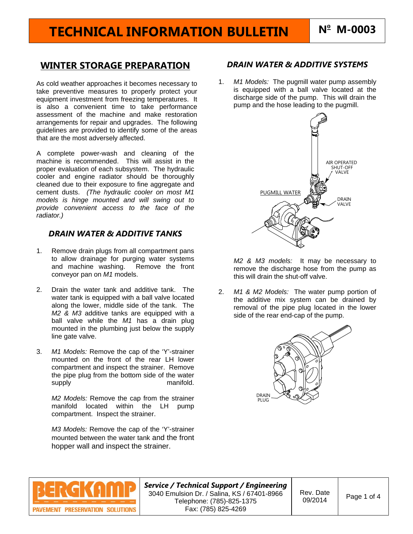# **TECHNICAL INFORMATION BULLETIN N<sup>o</sup>**

## **WINTER STORAGE PREPARATION**

As cold weather approaches it becomes necessary to take preventive measures to properly protect your equipment investment from freezing temperatures. It is also a convenient time to take performance assessment of the machine and make restoration arrangements for repair and upgrades. The following guidelines are provided to identify some of the areas that are the most adversely affected.

A complete power-wash and cleaning of the machine is recommended. This will assist in the proper evaluation of each subsystem. The hydraulic cooler and engine radiator should be thoroughly cleaned due to their exposure to fine aggregate and cement dusts. *(The hydraulic cooler on most M1 models is hinge mounted and will swing out to provide convenient access to the face of the radiator.)* 

### *DRAIN WATER & ADDITIVE TANKS*

- 1. Remove drain plugs from all compartment pans to allow drainage for purging water systems and machine washing. Remove the front conveyor pan on *M1* models.
- 2. Drain the water tank and additive tank. The water tank is equipped with a ball valve located along the lower, middle side of the tank. The *M2 & M3* additive tanks are equipped with a ball valve while the *M1* has a drain plug mounted in the plumbing just below the supply line gate valve.
- 3. *M1 Models:* Remove the cap of the 'Y'-strainer mounted on the front of the rear LH lower compartment and inspect the strainer. Remove the pipe plug from the bottom side of the water supply manifold.

*M2 Models:* Remove the cap from the strainer manifold located within the LH pump compartment. Inspect the strainer.

*M3 Models:* Remove the cap of the 'Y'-strainer mounted between the water tank and the front hopper wall and inspect the strainer.

## *DRAIN WATER & ADDITIVE SYSTEMS*

1. *M1 Models:* The pugmill water pump assembly is equipped with a ball valve located at the discharge side of the pump. This will drain the pump and the hose leading to the pugmill.



*M2 & M3 models:* It may be necessary to remove the discharge hose from the pump as this will drain the shut-off valve.

2. *M1 & M2 Models:* The water pump portion of the additive mix system can be drained by removal of the pipe plug located in the lower side of the rear end-cap of the pump.





*Service / Technical Support / Engineering*  3040 Emulsion Dr. / Salina, KS / 67401-8966 Telephone: (785)-825-1375 Fax: (785) 825-4269

Rev. Date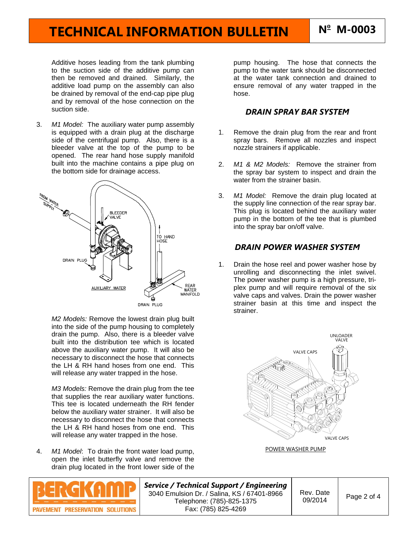# **TECHNICAL INFORMATION BULLETIN N<sup>o</sup>**

Additive hoses leading from the tank plumbing to the suction side of the additive pump can then be removed and drained. Similarly, the additive load pump on the assembly can also be drained by removal of the end-cap pipe plug and by removal of the hose connection on the suction side.

3. *M1 Model:* The auxiliary water pump assembly is equipped with a drain plug at the discharge side of the centrifugal pump. Also, there is a bleeder valve at the top of the pump to be opened. The rear hand hose supply manifold built into the machine contains a pipe plug on the bottom side for drainage access.



*M2 Models:* Remove the lowest drain plug built into the side of the pump housing to completely drain the pump. Also, there is a bleeder valve built into the distribution tee which is located above the auxiliary water pump. It will also be necessary to disconnect the hose that connects the LH & RH hand hoses from one end. This will release any water trapped in the hose.

*M3 Models:* Remove the drain plug from the tee that supplies the rear auxiliary water functions. This tee is located underneath the RH fender below the auxiliary water strainer. It will also be necessary to disconnect the hose that connects the LH & RH hand hoses from one end. This will release any water trapped in the hose.

4. *M1 Model*: To drain the front water load pump, open the inlet butterfly valve and remove the drain plug located in the front lower side of the



pump housing. The hose that connects the pump to the water tank should be disconnected at the water tank connection and drained to ensure removal of any water trapped in the hose.

#### *DRAIN SPRAY BAR SYSTEM*

- 1. Remove the drain plug from the rear and front spray bars. Remove all nozzles and inspect nozzle strainers if applicable.
- 2. *M1 & M2 Models:* Remove the strainer from the spray bar system to inspect and drain the water from the strainer basin.
- 3. *M1 Model:* Remove the drain plug located at the supply line connection of the rear spray bar. This plug is located behind the auxiliary water pump in the bottom of the tee that is plumbed into the spray bar on/off valve.

#### *DRAIN POWER WASHER SYSTEM*

1. Drain the hose reel and power washer hose by unrolling and disconnecting the inlet swivel. The power washer pump is a high pressure, triplex pump and will require removal of the six valve caps and valves. Drain the power washer strainer basin at this time and inspect the strainer.



POWER WASHER PUMP



Rev. Date  $09/2014$  Page 2 of 4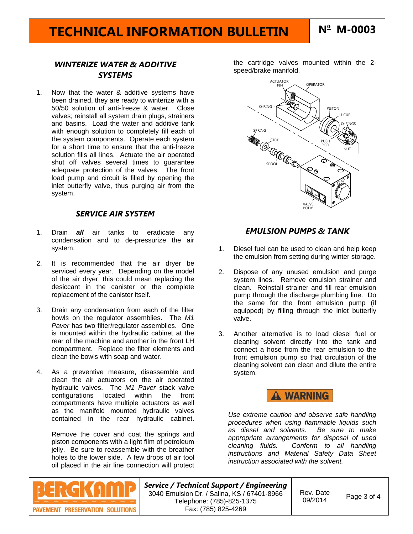## *WINTERIZE WATER & ADDITIVE SYSTEMS*

1. Now that the water & additive systems have been drained, they are ready to winterize with a 50/50 solution of anti-freeze & water. Close valves; reinstall all system drain plugs, strainers and basins. Load the water and additive tank with enough solution to completely fill each of the system components. Operate each system for a short time to ensure that the anti-freeze solution fills all lines. Actuate the air operated shut off valves several times to guarantee adequate protection of the valves. The front load pump and circuit is filled by opening the inlet butterfly valve, thus purging air from the system.

### *SERVICE AIR SYSTEM*

- 1. Drain *all* air tanks to eradicate any condensation and to de-pressurize the air system.
- 2. It is recommended that the air dryer be serviced every year. Depending on the model of the air dryer, this could mean replacing the desiccant in the canister or the complete replacement of the canister itself.
- 3. Drain any condensation from each of the filter bowls on the regulator assemblies. The *M1 Paver* has two filter/regulator assemblies. One is mounted within the hydraulic cabinet at the rear of the machine and another in the front LH compartment. Replace the filter elements and clean the bowls with soap and water.
- 4. As a preventive measure, disassemble and clean the air actuators on the air operated hydraulic valves. The *M1 Paver* stack valve configurations located within the front compartments have multiple actuators as well as the manifold mounted hydraulic valves contained in the rear hydraulic cabinet.

Remove the cover and coat the springs and piston components with a light film of petroleum jelly. Be sure to reassemble with the breather holes to the lower side. A few drops of air tool oil placed in the air line connection will protect

the cartridge valves mounted within the 2 speed/brake manifold.



### *EMULSION PUMPS & TANK*

- 1. Diesel fuel can be used to clean and help keep the emulsion from setting during winter storage.
- 2. Dispose of any unused emulsion and purge system lines. Remove emulsion strainer and clean. Reinstall strainer and fill rear emulsion pump through the discharge plumbing line. Do the same for the front emulsion pump (if equipped) by filling through the inlet butterfly valve.
- 3. Another alternative is to load diesel fuel or cleaning solvent directly into the tank and connect a hose from the rear emulsion to the front emulsion pump so that circulation of the cleaning solvent can clean and dilute the entire system.



*Use extreme caution and observe safe handling procedures when using flammable liquids such*   $\overline{\phantom{a}}$  *as diesel and solvents. appropriate arrangements for disposal of used cleaning fluids. Conform to all handling instructions and Material Safety Data Sheet instruction associated with the solvent.* 



*Service / Technical Support / Engineering*  3040 Emulsion Dr. / Salina, KS / 67401-8966 Telephone: (785)-825-1375 Fax: (785) 825-4269

Rev. Date  $09/2014$  Page 3 of 4